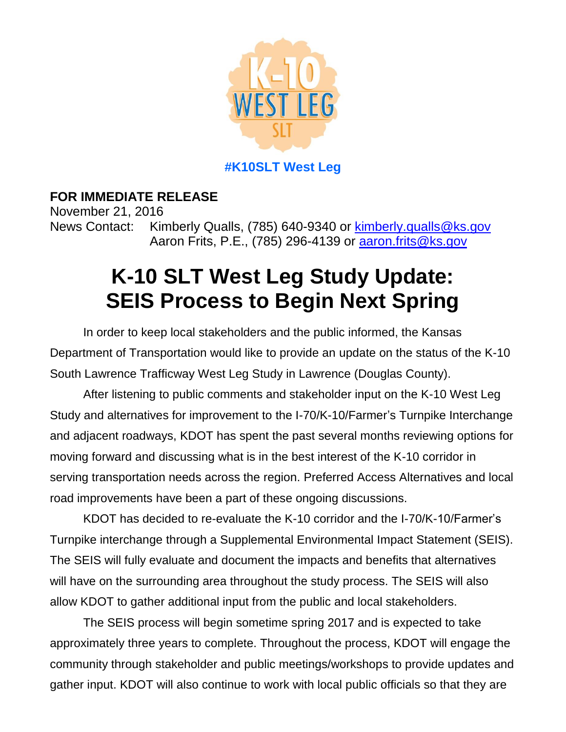

**#K10SLT West Leg**

**FOR IMMEDIATE RELEASE** November 21, 2016 News Contact: Kimberly Qualls, (785) 640-9340 or [kimberly.qualls@ks.gov](mailto:kimberly.qualls@ks.govg) Aaron Frits, P.E., (785) 296-4139 or **aaron.frits@ks.gov** 

## **K-10 SLT West Leg Study Update: SEIS Process to Begin Next Spring**

In order to keep local stakeholders and the public informed, the Kansas Department of Transportation would like to provide an update on the status of the K-10 South Lawrence Trafficway West Leg Study in Lawrence (Douglas County).

After listening to public comments and stakeholder input on the K-10 West Leg Study and alternatives for improvement to the I-70/K-10/Farmer's Turnpike Interchange and adjacent roadways, KDOT has spent the past several months reviewing options for moving forward and discussing what is in the best interest of the K-10 corridor in serving transportation needs across the region. Preferred Access Alternatives and local road improvements have been a part of these ongoing discussions.

KDOT has decided to re-evaluate the K-10 corridor and the I-70/K-10/Farmer's Turnpike interchange through a Supplemental Environmental Impact Statement (SEIS). The SEIS will fully evaluate and document the impacts and benefits that alternatives will have on the surrounding area throughout the study process. The SEIS will also allow KDOT to gather additional input from the public and local stakeholders.

The SEIS process will begin sometime spring 2017 and is expected to take approximately three years to complete. Throughout the process, KDOT will engage the community through stakeholder and public meetings/workshops to provide updates and gather input. KDOT will also continue to work with local public officials so that they are